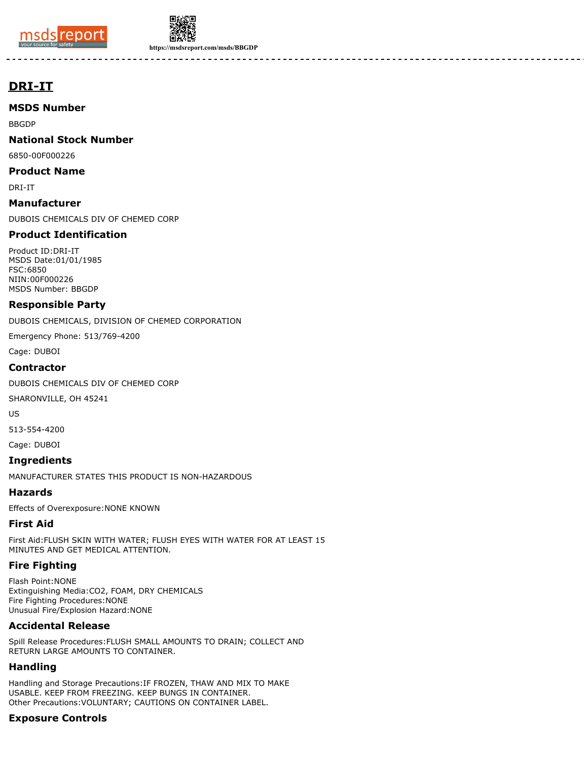



**https://msdsreport.com/msds/BBGDP**

# **DRI-IT**

**MSDS Number**

BBGDP

**National Stock Number**

6850-00F000226

**Product Name**

DRI-IT

**Manufacturer**

DUBOIS CHEMICALS DIV OF CHEMED CORP

## **Product Identification**

Product ID:DRI-IT MSDS Date:01/01/1985 FSC:6850 NIIN:00F000226 MSDS Number: BBGDP

#### **Responsible Party**

DUBOIS CHEMICALS, DIVISION OF CHEMED CORPORATION

Emergency Phone: 513/769-4200

Cage: DUBOI

#### **Contractor**

DUBOIS CHEMICALS DIV OF CHEMED CORP

SHARONVILLE, OH 45241

US

513-554-4200

Cage: DUBOI

# **Ingredients**

MANUFACTURER STATES THIS PRODUCT IS NON-HAZARDOUS

## **Hazards**

Effects of Overexposure:NONE KNOWN

## **First Aid**

First Aid:FLUSH SKIN WITH WATER; FLUSH EYES WITH WATER FOR AT LEAST 15 MINUTES AND GET MEDICAL ATTENTION.

## **Fire Fighting**

Flash Point:NONE Extinguishing Media:CO2, FOAM, DRY CHEMICALS Fire Fighting Procedures:NONE Unusual Fire/Explosion Hazard:NONE

## **Accidental Release**

Spill Release Procedures:FLUSH SMALL AMOUNTS TO DRAIN; COLLECT AND RETURN LARGE AMOUNTS TO CONTAINER.

## **Handling**

Handling and Storage Precautions:IF FROZEN, THAW AND MIX TO MAKE USABLE. KEEP FROM FREEZING. KEEP BUNGS IN CONTAINER. Other Precautions:VOLUNTARY; CAUTIONS ON CONTAINER LABEL.

## **Exposure Controls**